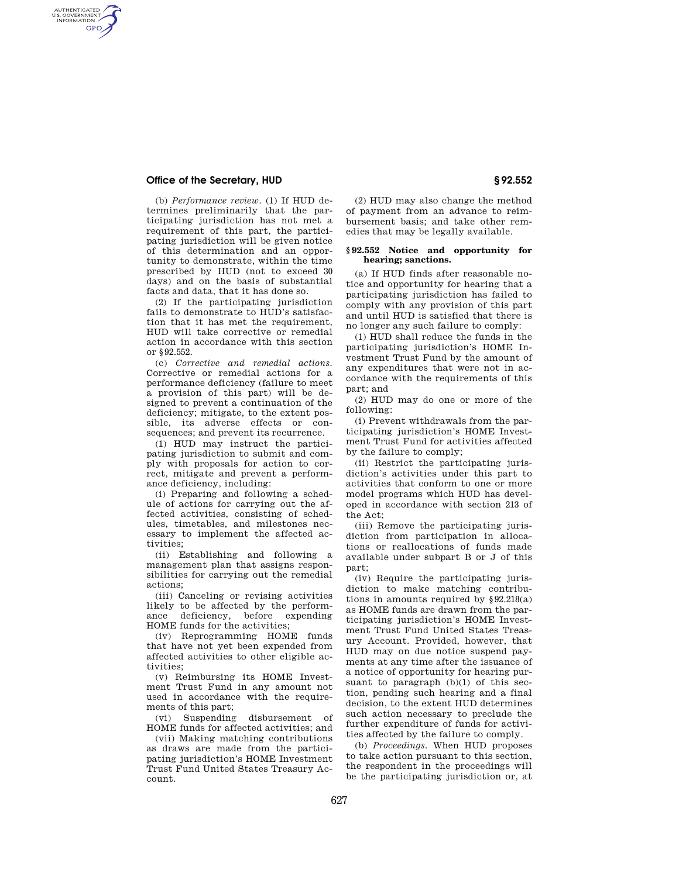## **Office of the Secretary, HUD § 92.552**

AUTHENTICATED<br>U.S. GOVERNMENT<br>INFORMATION **GPO** 

> (b) *Performance review.* (1) If HUD determines preliminarily that the participating jurisdiction has not met a requirement of this part, the participating jurisdiction will be given notice of this determination and an opportunity to demonstrate, within the time prescribed by HUD (not to exceed 30 days) and on the basis of substantial facts and data, that it has done so.

> (2) If the participating jurisdiction fails to demonstrate to HUD's satisfaction that it has met the requirement, HUD will take corrective or remedial action in accordance with this section or §92.552.

> (c) *Corrective and remedial actions.*  Corrective or remedial actions for a performance deficiency (failure to meet a provision of this part) will be designed to prevent a continuation of the deficiency; mitigate, to the extent possible, its adverse effects or consequences; and prevent its recurrence.

> (1) HUD may instruct the participating jurisdiction to submit and comply with proposals for action to correct, mitigate and prevent a performance deficiency, including:

> (i) Preparing and following a schedule of actions for carrying out the affected activities, consisting of schedules, timetables, and milestones necessary to implement the affected activities;

> (ii) Establishing and following a management plan that assigns responsibilities for carrying out the remedial actions;

> (iii) Canceling or revising activities likely to be affected by the performance deficiency, before expending HOME funds for the activities;

> (iv) Reprogramming HOME funds that have not yet been expended from affected activities to other eligible activities;

> (v) Reimbursing its HOME Investment Trust Fund in any amount not used in accordance with the requirements of this part;

> (vi) Suspending disbursement of HOME funds for affected activities; and

> (vii) Making matching contributions as draws are made from the participating jurisdiction's HOME Investment Trust Fund United States Treasury Account.

(2) HUD may also change the method of payment from an advance to reimbursement basis; and take other remedies that may be legally available.

#### **§ 92.552 Notice and opportunity for hearing; sanctions.**

(a) If HUD finds after reasonable notice and opportunity for hearing that a participating jurisdiction has failed to comply with any provision of this part and until HUD is satisfied that there is no longer any such failure to comply:

(1) HUD shall reduce the funds in the participating jurisdiction's HOME Investment Trust Fund by the amount of any expenditures that were not in accordance with the requirements of this part; and

(2) HUD may do one or more of the following:

(i) Prevent withdrawals from the participating jurisdiction's HOME Investment Trust Fund for activities affected by the failure to comply;

(ii) Restrict the participating jurisdiction's activities under this part to activities that conform to one or more model programs which HUD has developed in accordance with section 213 of the Act;

(iii) Remove the participating jurisdiction from participation in allocations or reallocations of funds made available under subpart B or J of this part;

(iv) Require the participating jurisdiction to make matching contributions in amounts required by §92.218(a) as HOME funds are drawn from the participating jurisdiction's HOME Investment Trust Fund United States Treasury Account. Provided, however, that HUD may on due notice suspend payments at any time after the issuance of a notice of opportunity for hearing pursuant to paragraph  $(b)(1)$  of this section, pending such hearing and a final decision, to the extent HUD determines such action necessary to preclude the further expenditure of funds for activities affected by the failure to comply.

(b) *Proceedings.* When HUD proposes to take action pursuant to this section, the respondent in the proceedings will be the participating jurisdiction or, at